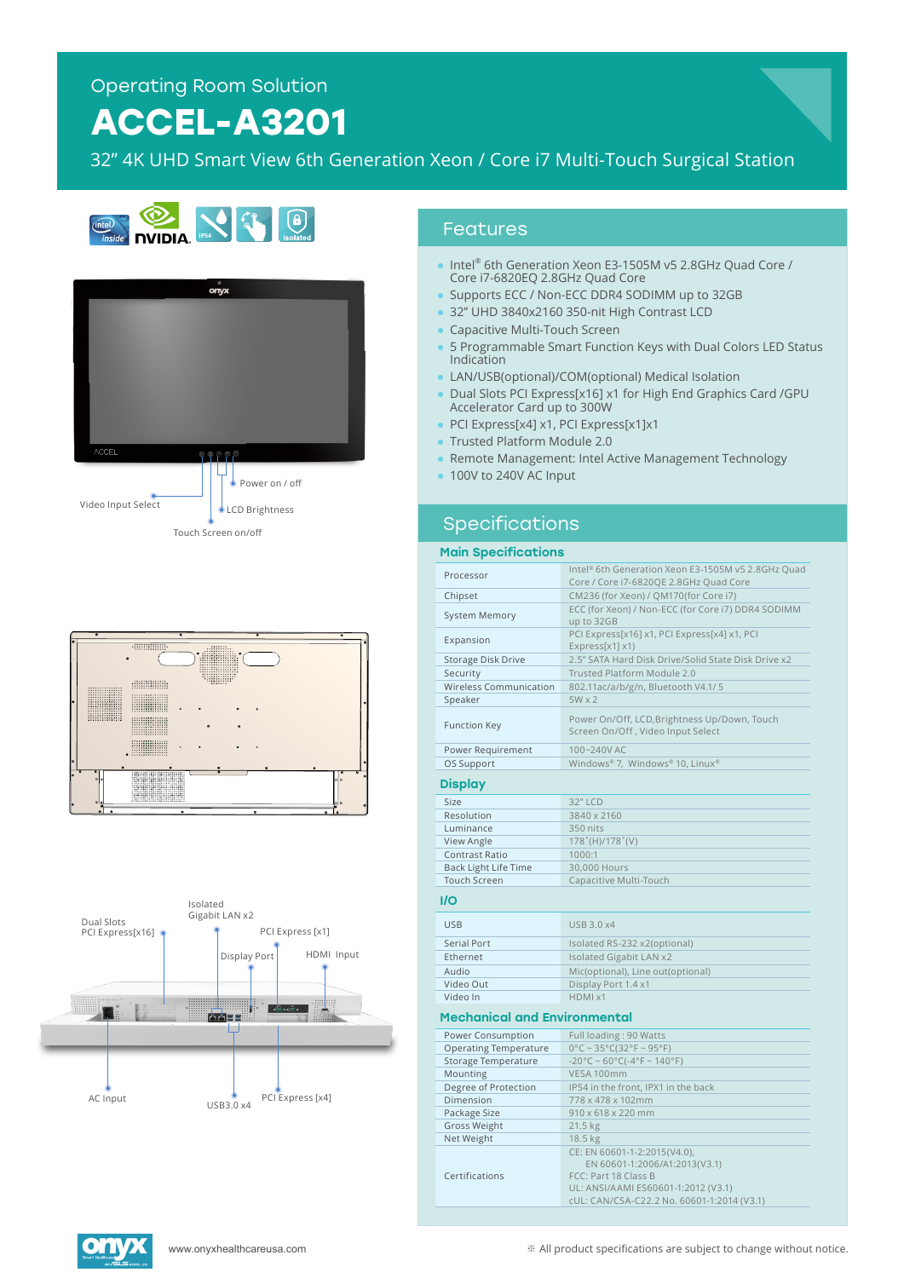# **ACCEL-A3201**

32" 4K UHD Smart View 6th Generation Xeon / Core i7 Multi-Touch Surgical Station









### Features

- Intel® 6th Generation Xeon E3-1505M v5 2.8GHz Quad Core / Core i7-6820EQ 2.8GHz Quad Core
- Supports ECC / Non-ECC DDR4 SODIMM up to 32GB
- 32" UHD 3840x2160 350-nit High Contrast LCD
- Capacitive Multi-Touch Screen
- 5 Programmable Smart Function Keys with Dual Colors LED Status Indication
- LAN/USB(optional)/COM(optional) Medical Isolation
- Dual Slots PCI Express[x16] x1 for High End Graphics Card /GPU Accelerator Card up to 300W
- PCI Express[x4] x1, PCI Express[x1]x1
- Trusted Platform Module 2.0
- Remote Management: Intel Active Management Technology
- 100V to 240V AC Input

# Specifications

#### Main Specifications

| Processor                           | Intel® 6th Generation Xeon E3-1505M v5 2.8GHz Quad<br>Core / Core i7-6820QE 2.8GHz Quad Core |
|-------------------------------------|----------------------------------------------------------------------------------------------|
| Chipset                             | CM236 (for Xeon) / QM170(for Core i7)                                                        |
| <b>System Memory</b>                | ECC (for Xeon) / Non-ECC (for Core i7) DDR4 SODIMM<br>up to 32GB                             |
| Expansion                           | PCI Express[x16] x1, PCI Express[x4] x1, PCI<br>Express[x1] x1)                              |
| Storage Disk Drive                  | 2.5" SATA Hard Disk Drive/Solid State Disk Drive x2                                          |
| Security                            | Trusted Platform Module 2.0                                                                  |
| <b>Wireless Communication</b>       | 802.11ac/a/b/g/n, Bluetooth V4.1/5                                                           |
| Speaker                             | $5W \times 2$                                                                                |
| <b>Function Key</b>                 | Power On/Off, LCD, Brightness Up/Down, Touch<br>Screen On/Off, Video Input Select            |
| Power Requirement                   | 100~240V AC                                                                                  |
| OS Support                          | Windows® 7, Windows® 10, Linux®                                                              |
| <b>Display</b>                      |                                                                                              |
| Size                                | 32" LCD                                                                                      |
| Resolution                          | 3840 x 2160                                                                                  |
| Luminance                           | 350 nits                                                                                     |
| View Angle                          | $178^{\circ}$ (H)/178 $^{\circ}$ (V)                                                         |
| <b>Contrast Ratio</b>               | 1000:1                                                                                       |
| <b>Back Light Life Time</b>         | 30,000 Hours                                                                                 |
| <b>Touch Screen</b>                 | Capacitive Multi-Touch                                                                       |
| <b>I/O</b>                          |                                                                                              |
| <b>USB</b>                          | USB 3.0 x4                                                                                   |
| <b>Serial Port</b>                  | Isolated RS-232 x2(optional)                                                                 |
| Ethernet                            | Isolated Gigabit LAN x2                                                                      |
| <b>Audio</b>                        | Mic(optional), Line out(optional)                                                            |
| Video Out                           | Display Port 1.4 x1                                                                          |
| Video In                            | HDMI x1                                                                                      |
| <b>Mechanical and Environmental</b> |                                                                                              |
| Power Consumption                   | Full loading: 90 Watts                                                                       |
| <b>Operating Temperature</b>        | $0^{\circ}$ C ~ 35°C(32°F ~ 95°F)                                                            |
| Storage Temperature                 | $-20^{\circ}$ C ~ 60°C( $-4^{\circ}$ F ~ 140°F)                                              |
| Mounting                            | VESA 100mm                                                                                   |
| Degree of Protection                | IP54 in the front, IPX1 in the back                                                          |
| Dimension                           | 778 x 478 x 102mm                                                                            |
| Package Size                        | 910 x 618 x 220 mm                                                                           |
| Gross Weight                        | 21.5 kg                                                                                      |
| Net Weight                          | 18.5 kg                                                                                      |
|                                     | CE: EN 60601-1-2:2015(V4.0),<br>EN 60601-1:2006/A1:2013(V3.1)                                |
| Certifications                      | FCC: Part 18 Class B<br>UL: ANSI/AAMI ES60601-1:2012 (V3.1)                                  |



cUL: CAN/CSA-C22.2 No. 60601-1:2014 (V3.1)